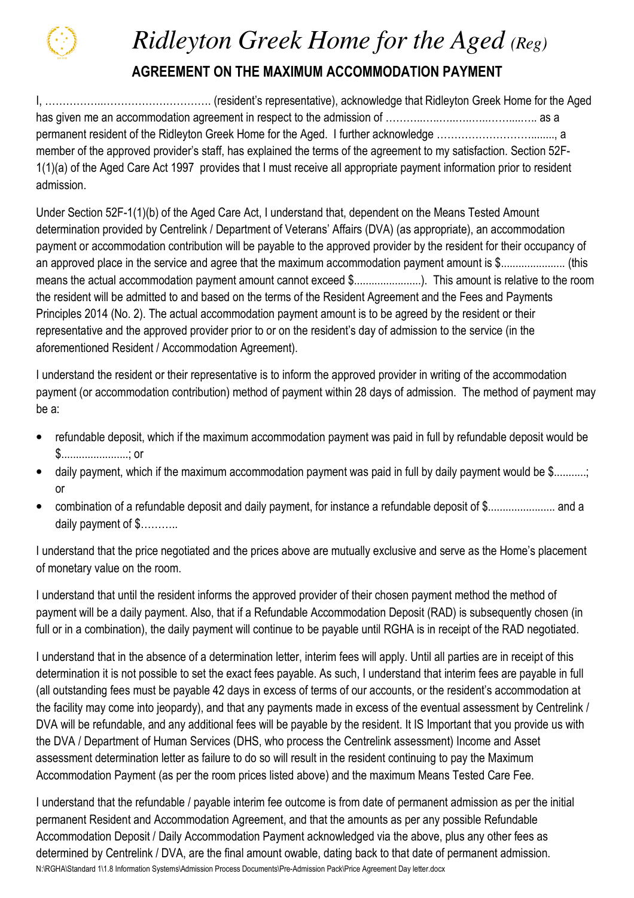

## *Ridleyton Greek Home for the Aged (Reg)*

## AGREEMENT ON THE MAXIMUM ACCOMMODATION PAYMENT

I, ……………..…………………………. (resident's representative), acknowledge that Ridleyton Greek Home for the Aged has given me an accommodation agreement in respect to the admission of ………..…..…..…..…..……....….. as a permanent resident of the Ridleyton Greek Home for the Aged. I further acknowledge ………………………........, a member of the approved provider's staff, has explained the terms of the agreement to my satisfaction. Section 52F-1(1)(a) of the Aged Care Act 1997 provides that I must receive all appropriate payment information prior to resident admission.

Under Section 52F-1(1)(b) of the Aged Care Act, I understand that, dependent on the Means Tested Amount determination provided by Centrelink / Department of Veterans' Affairs (DVA) (as appropriate), an accommodation payment or accommodation contribution will be payable to the approved provider by the resident for their occupancy of an approved place in the service and agree that the maximum accommodation payment amount is \$...................... (this means the actual accommodation payment amount cannot exceed \$.........................). This amount is relative to the room the resident will be admitted to and based on the terms of the Resident Agreement and the Fees and Payments Principles 2014 (No. 2). The actual accommodation payment amount is to be agreed by the resident or their representative and the approved provider prior to or on the resident's day of admission to the service (in the aforementioned Resident / Accommodation Agreement).

I understand the resident or their representative is to inform the approved provider in writing of the accommodation payment (or accommodation contribution) method of payment within 28 days of admission. The method of payment may be a:

- refundable deposit, which if the maximum accommodation payment was paid in full by refundable deposit would be \$.......................; or
- daily payment, which if the maximum accommodation payment was paid in full by daily payment would be \$...........; or
- combination of a refundable deposit and daily payment, for instance a refundable deposit of \$....................... and a daily payment of \$...........

I understand that the price negotiated and the prices above are mutually exclusive and serve as the Home's placement of monetary value on the room.

I understand that until the resident informs the approved provider of their chosen payment method the method of payment will be a daily payment. Also, that if a Refundable Accommodation Deposit (RAD) is subsequently chosen (in full or in a combination), the daily payment will continue to be payable until RGHA is in receipt of the RAD negotiated.

I understand that in the absence of a determination letter, interim fees will apply. Until all parties are in receipt of this determination it is not possible to set the exact fees payable. As such, I understand that interim fees are payable in full (all outstanding fees must be payable 42 days in excess of terms of our accounts, or the resident's accommodation at the facility may come into jeopardy), and that any payments made in excess of the eventual assessment by Centrelink / DVA will be refundable, and any additional fees will be payable by the resident. It IS Important that you provide us with the DVA / Department of Human Services (DHS, who process the Centrelink assessment) Income and Asset assessment determination letter as failure to do so will result in the resident continuing to pay the Maximum Accommodation Payment (as per the room prices listed above) and the maximum Means Tested Care Fee.

N:\RGHA\Standard 1\1.8 Information Systems\Admission Process Documents\Pre-Admission Pack\Price Agreement Day letter.docx I understand that the refundable / payable interim fee outcome is from date of permanent admission as per the initial permanent Resident and Accommodation Agreement, and that the amounts as per any possible Refundable Accommodation Deposit / Daily Accommodation Payment acknowledged via the above, plus any other fees as determined by Centrelink / DVA, are the final amount owable, dating back to that date of permanent admission.